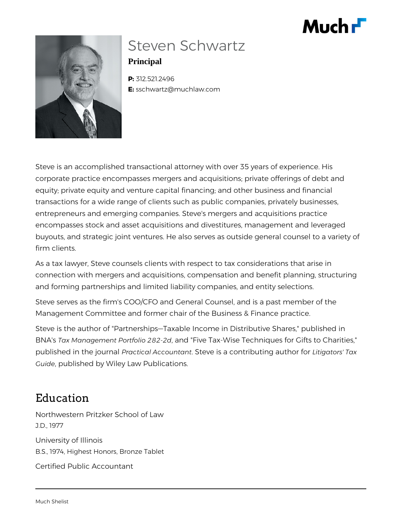



# Steven Schwartz **Principal**

**P:** 312.521.2496 **E:** sschwartz@muchlaw.com

Steve is an accomplished transactional attorney with over 35 years of experience. His corporate practice encompasses mergers and acquisitions; private offerings of debt and equity; private equity and venture capital financing; and other business and financial transactions for a wide range of clients such as public companies, privately businesses, entrepreneurs and emerging companies. Steve's mergers and acquisitions practice encompasses stock and asset acquisitions and divestitures, management and leveraged buyouts, and strategic joint ventures. He also serves as outside general counsel to a variety of firm clients.

As a tax lawyer, Steve counsels clients with respect to tax considerations that arise in connection with mergers and acquisitions, compensation and benefit planning, structuring and forming partnerships and limited liability companies, and entity selections.

Steve serves as the firm's COO/CFO and General Counsel, and is a past member of the Management Committee and former chair of the Business & Finance practice.

Steve is the author of "Partnerships—Taxable Income in Distributive Shares," published in BNA's *Tax Management Portfolio 282-2d*, and "Five Tax-Wise Techniques for Gifts to Charities," published in the journal *Practical Accountant*. Steve is a contributing author for *Litigators' Tax Guide*, published by Wiley Law Publications.

### Education

Northwestern Pritzker School of Law J.D., 1977

University of Illinois B.S., 1974, Highest Honors, Bronze Tablet Certified Public Accountant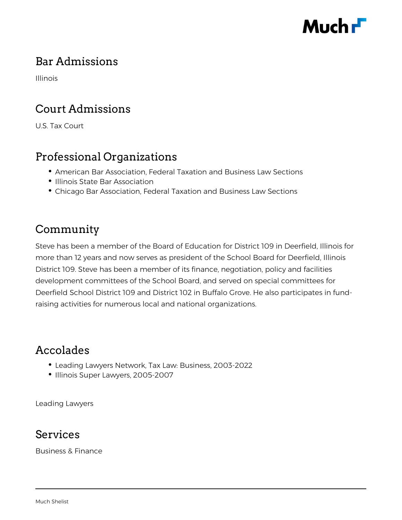

#### Bar Admissions

Illinois

## Court Admissions

U.S. Tax Court

### Professional Organizations

- American Bar Association, Federal Taxation and Business Law Sections
- Illinois State Bar Association
- Chicago Bar Association, Federal Taxation and Business Law Sections

## Community

Steve has been a member of the Board of Education for District 109 in Deerfield, Illinois for more than 12 years and now serves as president of the School Board for Deerfield, Illinois District 109. Steve has been a member of its finance, negotiation, policy and facilities development committees of the School Board, and served on special committees for Deerfield School District 109 and District 102 in Buffalo Grove. He also participates in fundraising activities for numerous local and national organizations.

### Accolades

- Leading Lawyers Network, Tax Law: Business, 2003-2022
- Illinois Super Lawyers, 2005-2007

Leading Lawyers

#### Services

Business & Finance